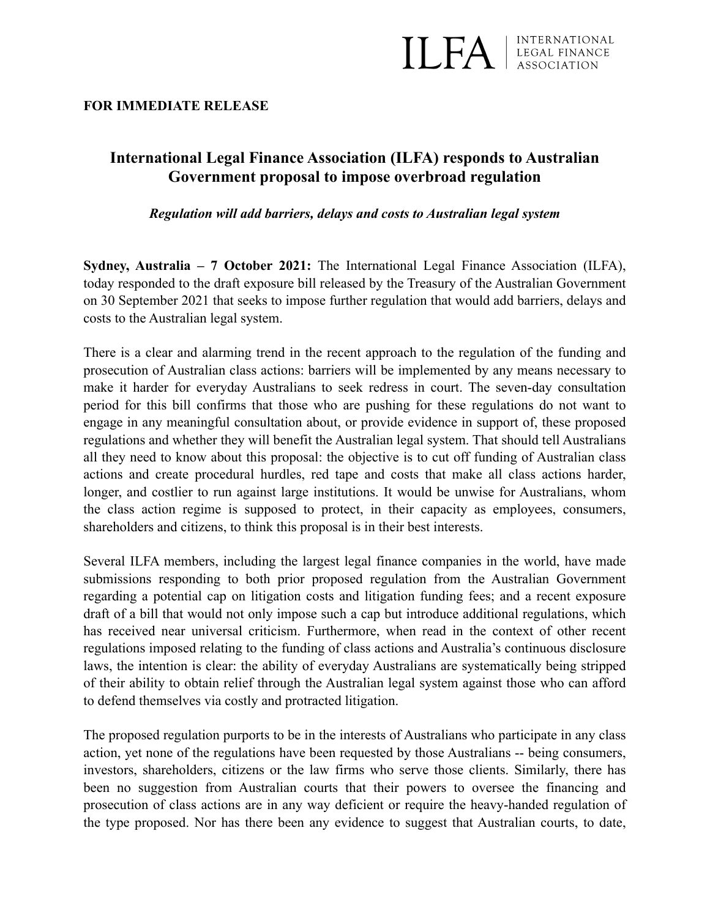

## **FOR IMMEDIATE RELEASE**

## **International Legal Finance Association (ILFA) responds to Australian Government proposal to impose overbroad regulation**

*Regulation will add barriers, delays and costs to Australian legal system* 

**Sydney, Australia – 7 October 2021:** The International Legal Finance Association (ILFA), today responded to the draft exposure bill released by the Treasury of the Australian Government on 30 September 2021 that seeks to impose further regulation that would add barriers, delays and costs to the Australian legal system.

There is a clear and alarming trend in the recent approach to the regulation of the funding and prosecution of Australian class actions: barriers will be implemented by any means necessary to make it harder for everyday Australians to seek redress in court. The seven-day consultation period for this bill confirms that those who are pushing for these regulations do not want to engage in any meaningful consultation about, or provide evidence in support of, these proposed regulations and whether they will benefit the Australian legal system. That should tell Australians all they need to know about this proposal: the objective is to cut off funding of Australian class actions and create procedural hurdles, red tape and costs that make all class actions harder, longer, and costlier to run against large institutions. It would be unwise for Australians, whom the class action regime is supposed to protect, in their capacity as employees, consumers, shareholders and citizens, to think this proposal is in their best interests.

Several ILFA members, including the largest legal finance companies in the world, have made submissions responding to both prior proposed regulation from the Australian Government regarding a potential cap on litigation costs and litigation funding fees; and a recent exposure draft of a bill that would not only impose such a cap but introduce additional regulations, which has received near universal criticism. Furthermore, when read in the context of other recent regulations imposed relating to the funding of class actions and Australia's continuous disclosure laws, the intention is clear: the ability of everyday Australians are systematically being stripped of their ability to obtain relief through the Australian legal system against those who can afford to defend themselves via costly and protracted litigation.

The proposed regulation purports to be in the interests of Australians who participate in any class action, yet none of the regulations have been requested by those Australians -- being consumers, investors, shareholders, citizens or the law firms who serve those clients. Similarly, there has been no suggestion from Australian courts that their powers to oversee the financing and prosecution of class actions are in any way deficient or require the heavy-handed regulation of the type proposed. Nor has there been any evidence to suggest that Australian courts, to date,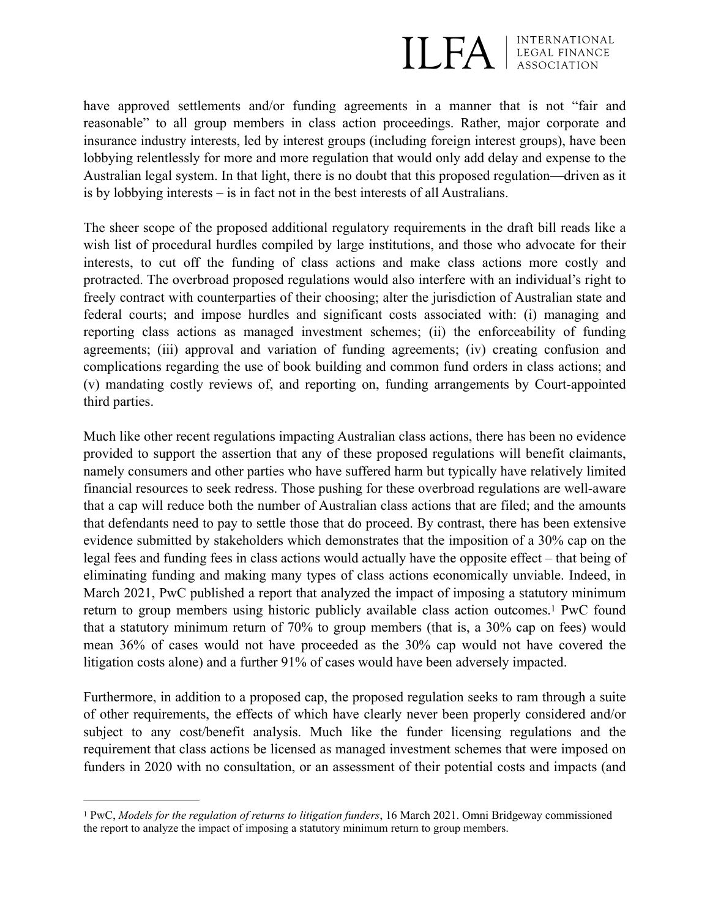

have approved settlements and/or funding agreements in a manner that is not "fair and reasonable" to all group members in class action proceedings. Rather, major corporate and insurance industry interests, led by interest groups (including foreign interest groups), have been lobbying relentlessly for more and more regulation that would only add delay and expense to the Australian legal system. In that light, there is no doubt that this proposed regulation—driven as it is by lobbying interests – is in fact not in the best interests of all Australians.

The sheer scope of the proposed additional regulatory requirements in the draft bill reads like a wish list of procedural hurdles compiled by large institutions, and those who advocate for their interests, to cut off the funding of class actions and make class actions more costly and protracted. The overbroad proposed regulations would also interfere with an individual's right to freely contract with counterparties of their choosing; alter the jurisdiction of Australian state and federal courts; and impose hurdles and significant costs associated with: (i) managing and reporting class actions as managed investment schemes; (ii) the enforceability of funding agreements; (iii) approval and variation of funding agreements; (iv) creating confusion and complications regarding the use of book building and common fund orders in class actions; and (v) mandating costly reviews of, and reporting on, funding arrangements by Court-appointed third parties.

Much like other recent regulations impacting Australian class actions, there has been no evidence provided to support the assertion that any of these proposed regulations will benefit claimants, namely consumers and other parties who have suffered harm but typically have relatively limited financial resources to seek redress. Those pushing for these overbroad regulations are well-aware that a cap will reduce both the number of Australian class actions that are filed; and the amounts that defendants need to pay to settle those that do proceed. By contrast, there has been extensive evidence submitted by stakeholders which demonstrates that the imposition of a 30% cap on the legal fees and funding fees in class actions would actually have the opposite effect – that being of eliminating funding and making many types of class actions economically unviable. Indeed, in March 2021, PwC published a report that analyzed the impact of imposing a statutory minimum return to group members using historic publicly available class action outcomes[.](#page-1-0)<sup>[1](#page-1-0)</sup> PwC found that a statutory minimum return of 70% to group members (that is, a 30% cap on fees) would mean 36% of cases would not have proceeded as the 30% cap would not have covered the litigation costs alone) and a further 91% of cases would have been adversely impacted.

<span id="page-1-1"></span>Furthermore, in addition to a proposed cap, the proposed regulation seeks to ram through a suite of other requirements, the effects of which have clearly never been properly considered and/or subject to any cost/benefit analysis. Much like the funder licensing regulations and the requirement that class actions be licensed as managed investment schemes that were imposed on funders in 2020 with no consultation, or an assessment of their potential costs and impacts (and

<span id="page-1-0"></span><sup>&</sup>lt;sup>[1](#page-1-1)</sup> PwC, *Models for the regulation of returns to litigation funders*, 16 March 2021. Omni Bridgeway commissioned the report to analyze the impact of imposing a statutory minimum return to group members.